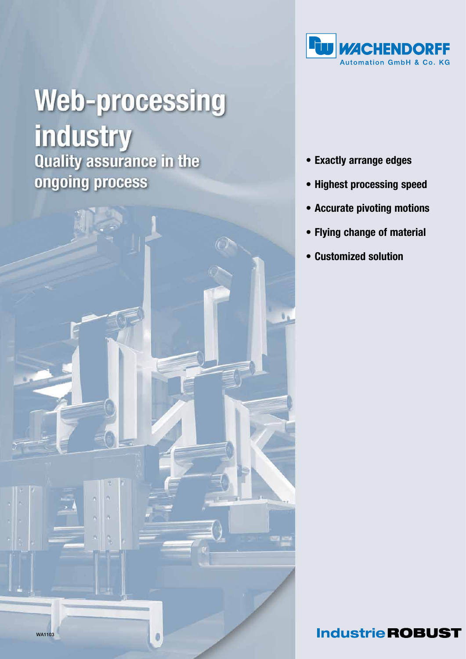

# **Web-processing industry**<br>Quality assurance in the ongoing process



- • Exactly arrange edges
- • Highest processing speed
- • Accurate pivoting motions
- • Flying change of material
- • Customized solution

**Industrie ROBUST**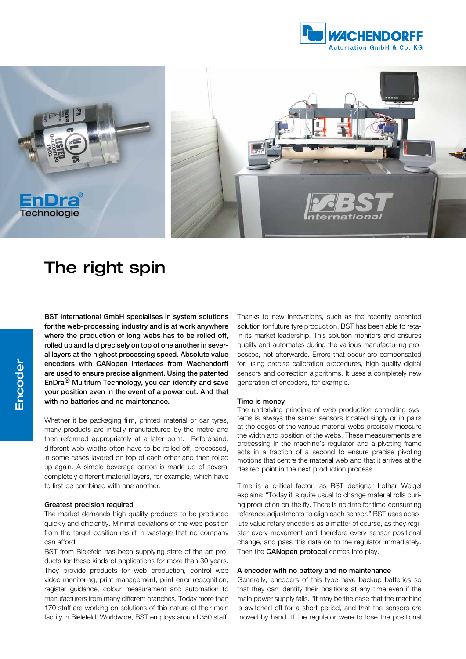



# The right spin

BST International GmbH specialises in system solutions for the web-processing industry and is at work anywhere where the production of long webs has to be rolled off, rolled up and laid precisely on top of one another in several layers at the highest processing speed. Absolute value encoders with CANopen interfaces from Wachendorff are used to ensure precise alignment. Using the patented EnDra® Multiturn Technology, you can identify and save your position even in the event of a power cut. And that with no batteries and no maintenance.

Whether it be packaging film, printed material or car tyres, many products are initially manufactured by the metre and then reformed appropriately at a later point. Beforehand, different web widths often have to be rolled off, processed, in some cases layered on top of each other and then rolled up again. A simple beverage carton is made up of several completely different material layers, for example, which have to first be combined with one another.

## Greatest precision required

The market demands high-quality products to be produced quickly and efficiently. Minimal deviations of the web position from the target position result in wastage that no company can afford.

BST from Bielefeld has been supplying state-of-the-art products for these kinds of applications for more than 30 years. They provide products for web production, control web video monitoring, print management, print error recognition, register guidance, colour measurement and automation to manufacturers from many different branches. Today more than 170 staff are working on solutions of this nature at their main facility in Bielefeld. Worldwide, BST employs around 350 staff.

Thanks to new innovations, such as the recently patented solution for future tyre production, BST has been able to retain its market leadership. This solution monitors and ensures quality and automates during the various manufacturing processes, not afterwards. Errors that occur are compensated for using precise calibration procedures, high-quality digital sensors and correction algorithms. It uses a completely new generation of encoders, for example.

#### Time is money

The underlying principle of web production controlling systems is always the same: sensors located singly or in pairs at the edges of the various material webs precisely measure the width and position of the webs. These measurements are processing in the machine's regulator and a pivoting frame acts in a fraction of a second to ensure precise pivoting motions that centre the material web and that it arrives at the desired point in the next production process.

Time is a critical factor, as BST designer Lothar Weigel explains: "Today it is quite usual to change material rolls during production on-the fly. There is no time for time-consuming reference adjustments to align each sensor." BST uses absolute value rotary encoders as a matter of course, as they register every movement and therefore every sensor positional change, and pass this data on to the regulator immediately. Then the **CANopen protocol** comes into play.

# A encoder with no battery and no maintenance

Generally, encoders of this type have backup batteries so that they can identify their positions at any time even if the main power supply fails. "It may be the case that the machine is switched off for a short period, and that the sensors are moved by hand. If the regulator were to lose the positional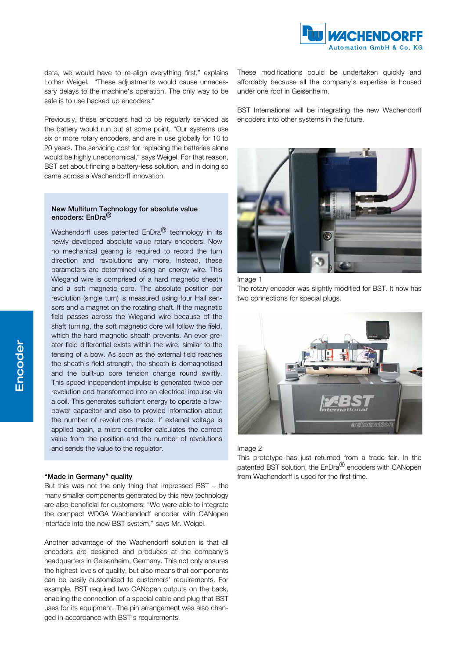

data, we would have to re-align everything first," explains Lothar Weigel. "These adjustments would cause unnecessary delays to the machine's operation. The only way to be safe is to use backed up encoders."

Previously, these encoders had to be regularly serviced as the battery would run out at some point. "Our systems use six or more rotary encoders, and are in use globally for 10 to 20 years. The servicing cost for replacing the batteries alone would be highly uneconomical," says Weigel. For that reason, BST set about finding a battery-less solution, and in doing so came across a Wachendorff innovation.

# New Multiturn Technology for absolute value encoders: EnDra<sup>®</sup>

Wachendorff uses patented EnDra<sup>®</sup> technology in its newly developed absolute value rotary encoders. Now no mechanical gearing is required to record the turn direction and revolutions any more. Instead, these parameters are determined using an energy wire. This Wiegand wire is comprised of a hard magnetic sheath and a soft magnetic core. The absolute position per revolution (single turn) is measured using four Hall sensors and a magnet on the rotating shaft. If the magnetic field passes across the Wiegand wire because of the shaft turning, the soft magnetic core will follow the field, which the hard magnetic sheath prevents. An ever-greater field differential exists within the wire, similar to the tensing of a bow. As soon as the external field reaches the sheath's field strength, the sheath is demagnetised and the built-up core tension change round swiftly. This speed-independent impulse is generated twice per revolution and transformed into an electrical impulse via a coil. This generates sufficient energy to operate a lowpower capacitor and also to provide information about the number of revolutions made. If external voltage is applied again, a micro-controller calculates the correct value from the position and the number of revolutions and sends the value to the regulator.

#### "Made in Germany" quality

But this was not the only thing that impressed BST – the many smaller components generated by this new technology are also beneficial for customers: "We were able to integrate the compact WDGA Wachendorff encoder with CANopen interface into the new BST system," says Mr. Weigel.

Another advantage of the Wachendorff solution is that all encoders are designed and produces at the company's headquarters in Geisenheim, Germany. This not only ensures the highest levels of quality, but also means that components can be easily customised to customers' requirements. For example. BST required two CANopen outputs on the back, enabling the connection of a special cable and plug that BST uses for its equipment. The pin arrangement was also changed in accordance with BST's requirements.

These modifications could be undertaken quickly and affordably because all the company's expertise is housed under one roof in Geisenheim.

BST International will be integrating the new Wachendorff encoders into other systems in the future.



Image 1

The rotary encoder was slightly modified for BST. It now has two connections for special plugs.



## Image 2

This prototype has just returned from a trade fair. In the patented BST solution, the EnDra® encoders with CANopen from Wachendorff is used for the first time.